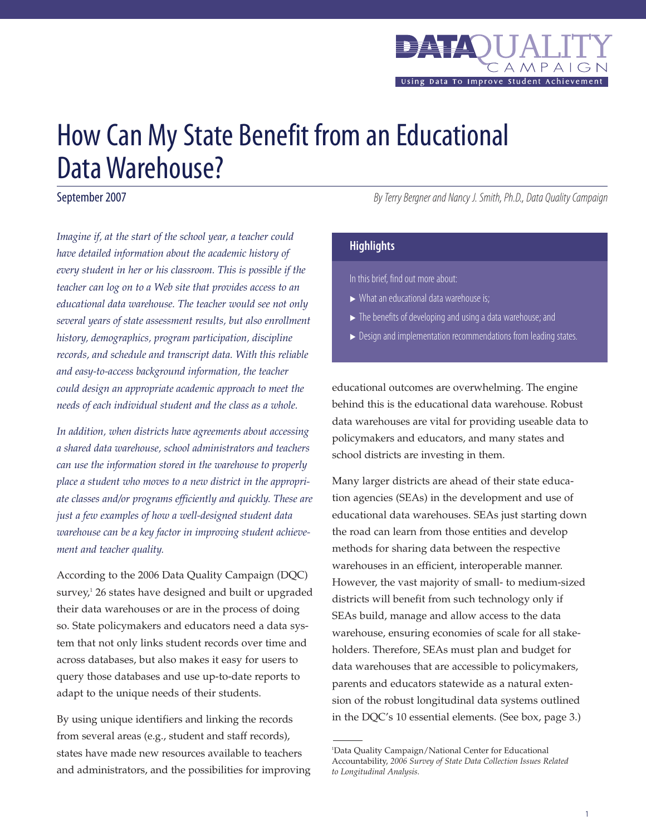

# How Can My State Benefit from an Educational Data Warehouse?

September 2007

*Imagine if, at the start of the school year, a teacher could have detailed information about the academic history of every student in her or his classroom. This is possible if the teacher can log on to a Web site that provides access to an educational data warehouse. The teacher would see not only several years of state assessment results, but also enrollment history, demographics, program participation, discipline records, and schedule and transcript data. With this reliable and easy-to-access background information, the teacher could design an appropriate academic approach to meet the needs of each individual student and the class as a whole.* 

*In addition, when districts have agreements about accessing a shared data warehouse, school administrators and teachers can use the information stored in the warehouse to properly place a student who moves to a new district in the appropriate classes and/or programs efficiently and quickly. These are just a few examples of how a well-designed student data warehouse can be a key factor in improving student achievement and teacher quality.* 

According to the 2006 Data Quality Campaign (DQC) survey, $126$  states have designed and built or upgraded their data warehouses or are in the process of doing so. State policymakers and educators need a data system that not only links student records over time and across databases, but also makes it easy for users to query those databases and use up-to-date reports to adapt to the unique needs of their students.

By using unique identifiers and linking the records from several areas (e.g., student and staff records), states have made new resources available to teachers and administrators, and the possibilities for improving By Terry Bergner and Nancy J. Smith, Ph.D., Data Quality Campaign

### **Highlights**

In this brief, find out more about:

- $\triangleright$  What an educational data warehouse is;
- $\blacktriangleright$  The benefits of developing and using a data warehouse; and
- $\triangleright$  Design and implementation recommendations from leading states.

educational outcomes are overwhelming. The engine behind this is the educational data warehouse. Robust data warehouses are vital for providing useable data to policymakers and educators, and many states and school districts are investing in them.

Many larger districts are ahead of their state education agencies (SEAs) in the development and use of educational data warehouses. SEAs just starting down the road can learn from those entities and develop methods for sharing data between the respective warehouses in an efficient, interoperable manner. However, the vast majority of small- to medium-sized districts will benefit from such technology only if SEAs build, manage and allow access to the data warehouse, ensuring economies of scale for all stakeholders. Therefore, SEAs must plan and budget for data warehouses that are accessible to policymakers, parents and educators statewide as a natural extension of the robust longitudinal data systems outlined in the DQC's 10 essential elements. (See box, page 3.)

<sup>1</sup> Data Quality Campaign/National Center for Educational Accountability, *2006 Survey of State Data Collection Issues Related to Longitudinal Analysis.*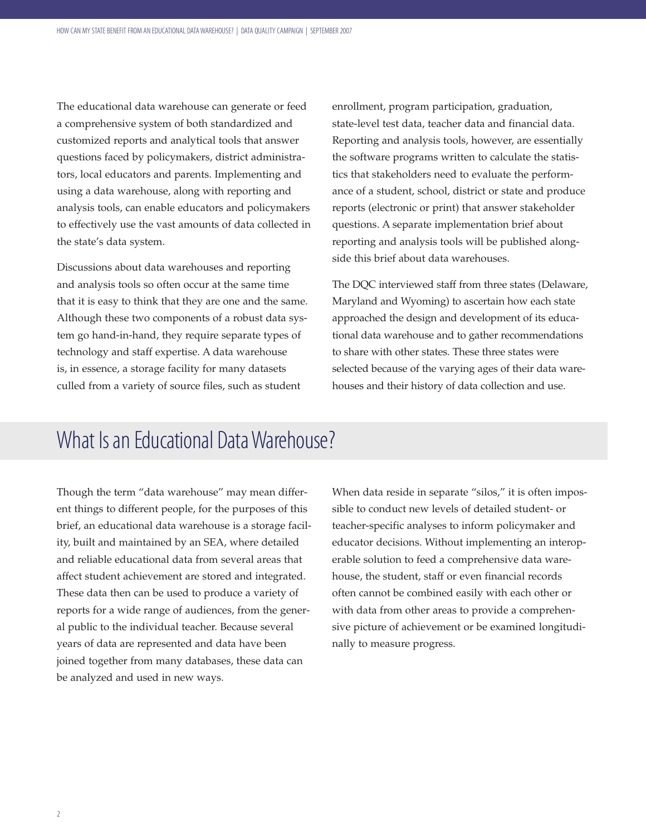The educational data warehouse can generate or feed a comprehensive system of both standardized and customized reports and analytical tools that answer questions faced by policymakers, district administrators, local educators and parents. Implementing and using a data warehouse, along with reporting and analysis tools, can enable educators and policymakers to effectively use the vast amounts of data collected in the state's data system.

Discussions about data warehouses and reporting and analysis tools so often occur at the same time that it is easy to think that they are one and the same. Although these two components of a robust data system go hand-in-hand, they require separate types of technology and staff expertise. A data warehouse is, in essence, a storage facility for many datasets culled from a variety of source files, such as student

enrollment, program participation, graduation, state-level test data, teacher data and financial data. Reporting and analysis tools, however, are essentially the software programs written to calculate the statistics that stakeholders need to evaluate the performance of a student, school, district or state and produce reports (electronic or print) that answer stakeholder questions. A separate implementation brief about reporting and analysis tools will be published alongside this brief about data warehouses.

The DQC interviewed staff from three states (Delaware, Maryland and Wyoming) to ascertain how each state approached the design and development of its educational data warehouse and to gather recommendations to share with other states. These three states were selected because of the varying ages of their data warehouses and their history of data collection and use.

## What Is an Educational Data Warehouse?

Though the term "data warehouse" may mean different things to different people, for the purposes of this brief, an educational data warehouse is a storage facility, built and maintained by an SEA, where detailed and reliable educational data from several areas that affect student achievement are stored and integrated. These data then can be used to produce a variety of reports for a wide range of audiences, from the general public to the individual teacher. Because several years of data are represented and data have been joined together from many databases, these data can be analyzed and used in new ways.

When data reside in separate "silos," it is often impossible to conduct new levels of detailed student- or teacher-specific analyses to inform policymaker and educator decisions. Without implementing an interoperable solution to feed a comprehensive data warehouse, the student, staff or even financial records often cannot be combined easily with each other or with data from other areas to provide a comprehensive picture of achievement or be examined longitudinally to measure progress.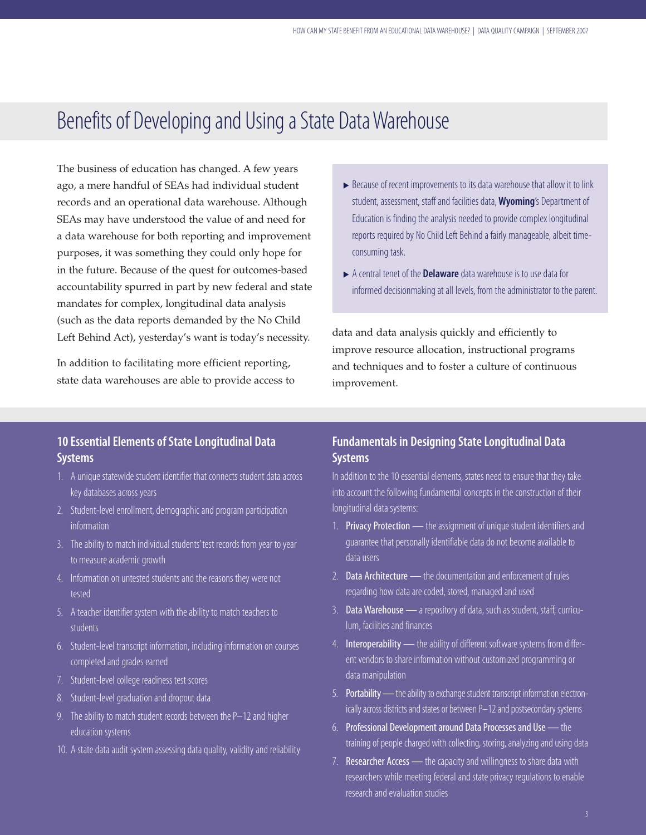## Benefits of Developing and Using a State Data Warehouse

The business of education has changed. A few years ago, a mere handful of SEAs had individual student records and an operational data warehouse. Although SEAs may have understood the value of and need for a data warehouse for both reporting and improvement purposes, it was something they could only hope for in the future. Because of the quest for outcomes-based accountability spurred in part by new federal and state mandates for complex, longitudinal data analysis (such as the data reports demanded by the No Child Left Behind Act), yesterday's want is today's necessity.

In addition to facilitating more efficient reporting, state data warehouses are able to provide access to

- $\triangleright$  Because of recent improvements to its data warehouse that allow it to link student, assessment, staff and facilities data,**Wyoming**'s Department of Education is finding the analysis needed to provide complex longitudinal reports required by No Child Left Behind a fairly manageable, albeit timeconsuming task.
- A central tenet of the **Delaware** data warehouse is to use data for informed decisionmaking at all levels, from the administrator to the parent.

data and data analysis quickly and efficiently to improve resource allocation, instructional programs and techniques and to foster a culture of continuous improvement.

## **10 Essential Elements of State Longitudinal Data Systems**

- 1. A unique statewide student identifier that connects student data across key databases across years
- 2. Student-level enrollment, demographic and program participation information
- 3. The ability to match individual students' test records from year to year to measure academic growth
- 4. Information on untested students and the reasons they were not tested
- 5. A teacher identifier system with the ability to match teachers to students
- 6. Student-level transcript information, including information on courses completed and grades earned
- 7. Student-level college readiness test scores
- 8. Student-level graduation and dropout data
- 9. The ability to match student records between the P–12 and higher education systems
- 10. A state data audit system assessing data quality, validity and reliability

## **Fundamentals in Designing State Longitudinal Data Systems**

In addition to the 10 essential elements, states need to ensure that they take into account the following fundamental concepts in the construction of their longitudinal data systems:

- 1. Privacy Protection the assignment of unique student identifiers and guarantee that personally identifiable data do not become available to data users
- 2. Data Architecture the documentation and enforcement of rules regarding how data are coded, stored, managed and used
- 3. Data Warehouse a repository of data, such as student, staff, curriculum, facilities and finances
- 4. Interoperability the ability of different software systems from different vendors to share information without customized programming or data manipulation
- 5. Portability the ability to exchange student transcript information electronically across districts and states or between P-12 and postsecondary systems
- 6. Professional Development around Data Processes and Use the training of people charged with collecting, storing, analyzing and using data
- 7. Researcher Access the capacity and willingness to share data with researchers while meeting federal and state privacy regulations to enable research and evaluation studies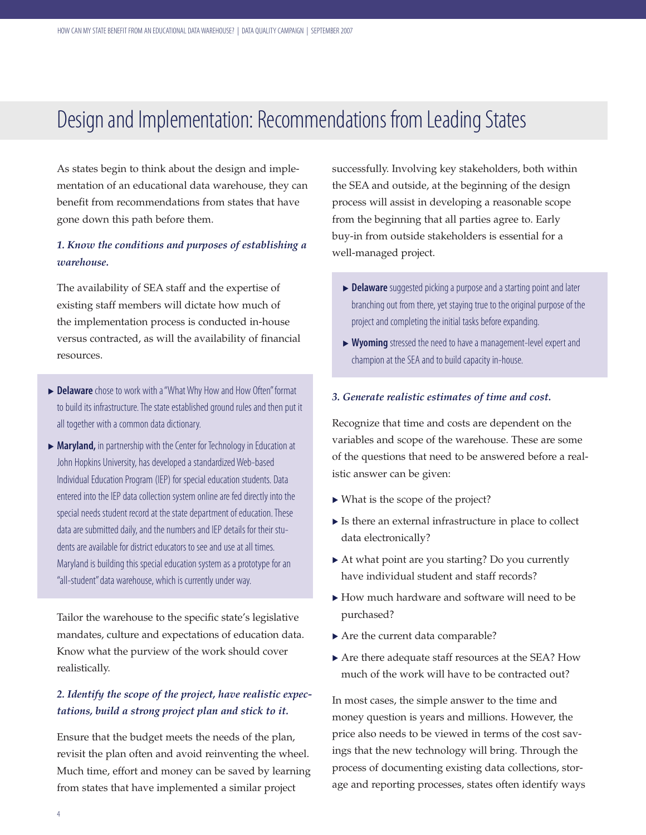## Design and Implementation: Recommendations from Leading States

As states begin to think about the design and implementation of an educational data warehouse, they can benefit from recommendations from states that have gone down this path before them.

## *1. Know the conditions and purposes of establishing a warehouse.*

The availability of SEA staff and the expertise of existing staff members will dictate how much of the implementation process is conducted in-house versus contracted, as will the availability of financial resources.

- **Delaware** chose to work with a "What Why How and How Often" format to build its infrastructure. The state established ground rules and then put it all together with a common data dictionary.
- ▶ Maryland, in partnership with the Center for Technology in Education at John Hopkins University, has developed a standardized Web-based Individual Education Program (IEP) for special education students. Data entered into the IEP data collection system online are fed directly into the special needs student record at the state department of education. These data are submitted daily, and the numbers and IEP details for their students are available for district educators to see and use at all times. Maryland is building this special education system as a prototype for an "all-student" data warehouse, which is currently under way.

Tailor the warehouse to the specific state's legislative mandates, culture and expectations of education data. Know what the purview of the work should cover realistically.

## *2. Identify the scope of the project, have realistic expectations, build a strong project plan and stick to it.*

Ensure that the budget meets the needs of the plan, revisit the plan often and avoid reinventing the wheel. Much time, effort and money can be saved by learning from states that have implemented a similar project

successfully. Involving key stakeholders, both within the SEA and outside, at the beginning of the design process will assist in developing a reasonable scope from the beginning that all parties agree to. Early buy-in from outside stakeholders is essential for a well-managed project.

- **Delaware** suggested picking a purpose and a starting point and later branching out from there, yet staying true to the original purpose of the project and completing the initial tasks before expanding.
- <sup>u</sup> **Wyoming** stressed the need to have a management-level expert and champion at the SEA and to build capacity in-house.

#### *3. Generate realistic estimates of time and cost.*

Recognize that time and costs are dependent on the variables and scope of the warehouse. These are some of the questions that need to be answered before a realistic answer can be given:

- $\triangleright$  What is the scope of the project?
- $\blacktriangleright$  Is there an external infrastructure in place to collect data electronically?
- $\blacktriangleright$  At what point are you starting? Do you currently have individual student and staff records?
- $\blacktriangleright$  How much hardware and software will need to be purchased?
- $\blacktriangleright$  Are the current data comparable?
- $\blacktriangleright$  Are there adequate staff resources at the SEA? How much of the work will have to be contracted out?

In most cases, the simple answer to the time and money question is years and millions. However, the price also needs to be viewed in terms of the cost savings that the new technology will bring. Through the process of documenting existing data collections, storage and reporting processes, states often identify ways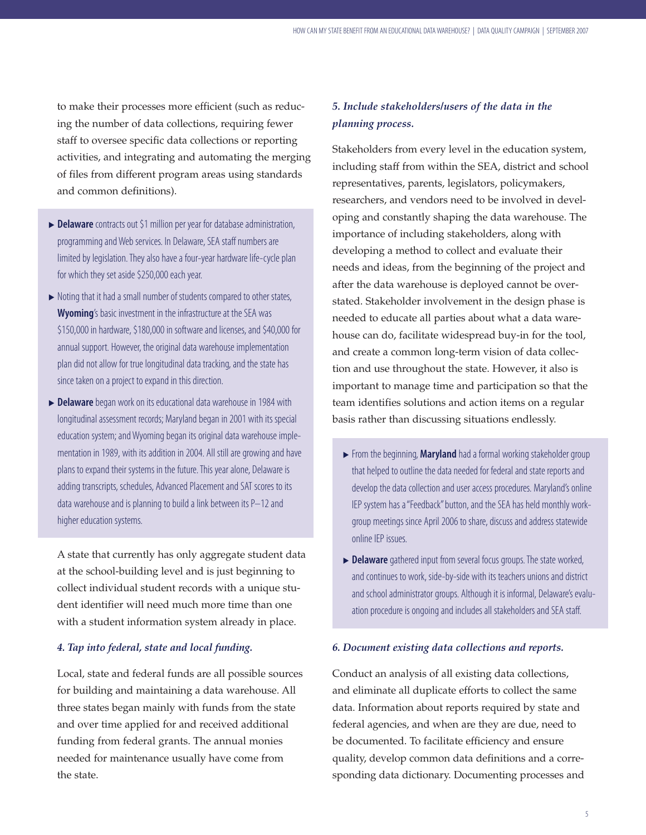to make their processes more efficient (such as reducing the number of data collections, requiring fewer staff to oversee specific data collections or reporting activities, and integrating and automating the merging of files from different program areas using standards and common definitions).

- **Delaware** contracts out \$1 million per year for database administration, programming and Web services. In Delaware, SEA staff numbers are limited by legislation. They also have a four-year hardware life-cycle plan for which they set aside \$250,000 each year.
- $\triangleright$  Noting that it had a small number of students compared to other states, **Wyoming**'s basic investment in the infrastructure at the SEA was \$150,000 in hardware, \$180,000 in software and licenses, and \$40,000 for annual support. However, the original data warehouse implementation plan did not allow for true longitudinal data tracking, and the state has since taken on a project to expand in this direction.
- **Delaware** began work on its educational data warehouse in 1984 with longitudinal assessment records; Maryland began in 2001 with its special education system; and Wyoming began its original data warehouse implementation in 1989, with its addition in 2004. All still aregrowing and have plans to expand their systems in the future. This year alone, Delaware is adding transcripts, schedules, Advanced Placement and SAT scores to its data warehouse and is planning to build a link between its P–12 and higher education systems.

A state that currently has only aggregate student data at the school-building level and is just beginning to collect individual student records with a unique student identifier will need much more time than one with a student information system already in place.

#### *4. Tap into federal, state and local funding.*

Local, state and federal funds are all possible sources for building and maintaining a data warehouse. All three states began mainly with funds from the state and over time applied for and received additional funding from federal grants. The annual monies needed for maintenance usually have come from the state.

## *5. Include stakeholders/users of the data in the planning process.*

Stakeholders from every level in the education system, including staff from within the SEA, district and school representatives, parents, legislators, policymakers, researchers, and vendors need to be involved in developing and constantly shaping the data warehouse. The importance of including stakeholders, along with developing a method to collect and evaluate their needs and ideas, from the beginning of the project and after the data warehouse is deployed cannot be overstated. Stakeholder involvement in the design phase is needed to educate all parties about what a data warehouse can do, facilitate widespread buy-in for the tool, and create a common long-term vision of data collection and use throughout the state. However, it also is important to manage time and participation so that the team identifies solutions and action items on a regular basis rather than discussing situations endlessly.

- **Example 3** From the beginning, **Maryland** had a formal working stakeholder group that helped to outline the data needed for federal and state reports and develop the data collection and user access procedures. Maryland's online IEP system has a "Feedback" button, and the SEA has held monthly workgroup meetings since April 2006 to share, discuss and address statewide online IEP issues.
- **Delaware** gathered input from several focus groups. The state worked, and continues to work, side-by-side with its teachers unions and district and school administrator groups. Although it is informal, Delaware's evaluation procedure is ongoing and includes all stakeholders and SEA staff.

#### *6. Document existing data collections and reports.*

Conduct an analysis of all existing data collections, and eliminate all duplicate efforts to collect the same data. Information about reports required by state and federal agencies, and when are they are due, need to be documented. To facilitate efficiency and ensure quality, develop common data definitions and a corresponding data dictionary. Documenting processes and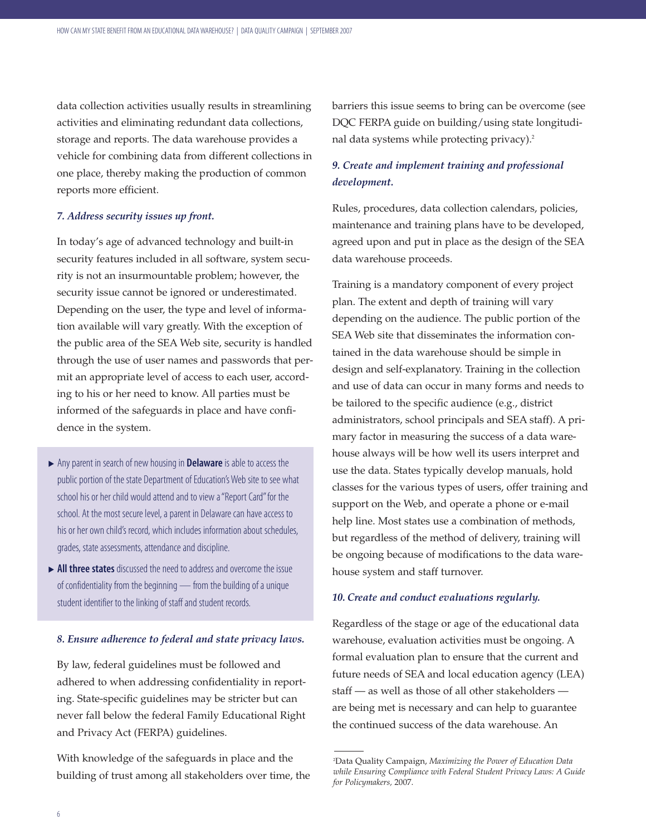data collection activities usually results in streamlining activities and eliminating redundant data collections, storage and reports. The data warehouse provides a vehicle for combining data from different collections in one place, thereby making the production of common reports more efficient.

#### *7. Address security issues up front.*

In today's age of advanced technology and built-in security features included in all software, system security is not an insurmountable problem; however, the security issue cannot be ignored or underestimated. Depending on the user, the type and level of information available will vary greatly. With the exception of the public area of the SEA Web site, security is handled through the use of user names and passwords that permit an appropriate level of access to each user, according to his or her need to know. All parties must be informed of the safeguards in place and have confidence in the system.

- <sup>u</sup> Any parent in search of new housing in **Delaware**is able to access the public portion of the state Department of Education's Web site to see what school his or her child would attend and to view a "Report Card" for the school. At the most secure level, a parent in Delaware can have access to his or her own child's record, which includes information about schedules, grades, state assessments, attendance and discipline.
- ▶ All three states discussed the need to address and overcome the issue of confidentiality from the beginning — from the building of a unique student identifier to the linking of staff and student records.

#### *8. Ensure adherence to federal and state privacy laws.*

By law, federal guidelines must be followed and adhered to when addressing confidentiality in reporting. State-specific guidelines may be stricter but can never fall below the federal Family Educational Right and Privacy Act (FERPA) guidelines.

With knowledge of the safeguards in place and the building of trust among all stakeholders over time, the barriers this issue seems to bring can be overcome (see DQC FERPA guide on building/using state longitudinal data systems while protecting privacy).<sup>2</sup>

### *9. Create and implement training and professional development.*

Rules, procedures, data collection calendars, policies, maintenance and training plans have to be developed, agreed upon and put in place as the design of the SEA data warehouse proceeds.

Training is a mandatory component of every project plan. The extent and depth of training will vary depending on the audience. The public portion of the SEA Web site that disseminates the information contained in the data warehouse should be simple in design and self-explanatory. Training in the collection and use of data can occur in many forms and needs to be tailored to the specific audience (e.g., district administrators, school principals and SEA staff). A primary factor in measuring the success of a data warehouse always will be how well its users interpret and use the data. States typically develop manuals, hold classes for the various types of users, offer training and support on the Web, and operate a phone or e-mail help line. Most states use a combination of methods, but regardless of the method of delivery, training will be ongoing because of modifications to the data warehouse system and staff turnover.

#### *10. Create and conduct evaluations regularly.*

Regardless of the stage or age of the educational data warehouse, evaluation activities must be ongoing. A formal evaluation plan to ensure that the current and future needs of SEA and local education agency (LEA) staff — as well as those of all other stakeholders are being met is necessary and can help to guarantee the continued success of the data warehouse. An

<sup>2</sup> Data Quality Campaign, *Maximizing the Power of Education Data while Ensuring Compliance with Federal Student Privacy Laws: A Guide for Policymakers,* 2007.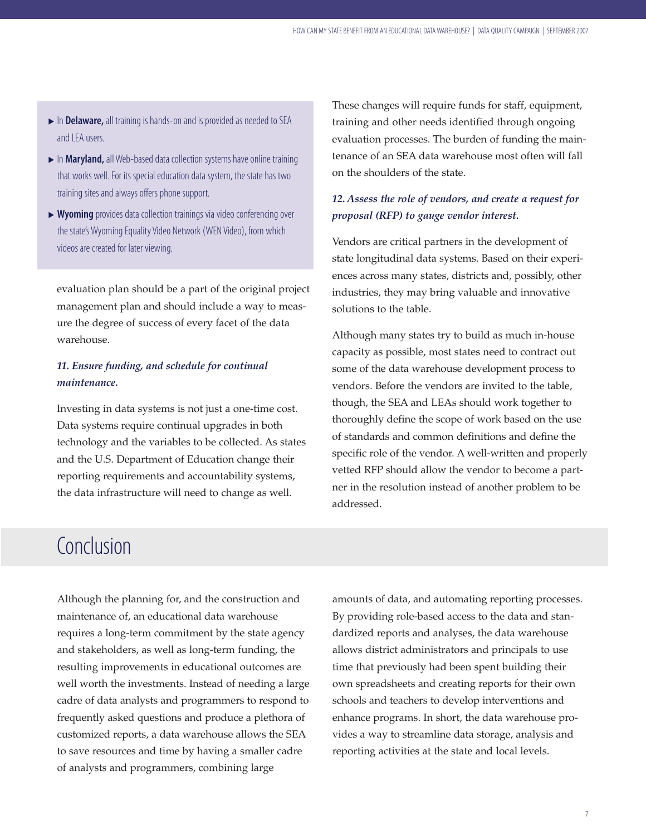- <sup>u</sup> In **Delaware,** all training is hands-on and is provided as needed to SEA and LEA users.
- **In Maryland,** all Web-based data collection systems have online training that works well. For its special education data system, the state has two training sites and always offers phone support.
- ▶ Wyoming provides data collection trainings via video conferencing over the state's Wyoming Equality Video Network (WEN Video), from which videos are created for later viewing.

evaluation plan should be a part of the original project management plan and should include a way to measure the degree of success of every facet of the data warehouse.

## *11. Ensure funding, and schedule for continual maintenance.*

Investing in data systems is not just a one-time cost. Data systems require continual upgrades in both technology and the variables to be collected. As states and the U.S. Department of Education change their reporting requirements and accountability systems, the data infrastructure will need to change as well.

These changes will require funds for staff, equipment, training and other needs identified through ongoing evaluation processes. The burden of funding the maintenance of an SEA data warehouse most often will fall on the shoulders of the state.

## *12. Assess the role of vendors, and create a request for proposal (RFP) to gauge vendor interest.*

Vendors are critical partners in the development of state longitudinal data systems. Based on their experiences across many states, districts and, possibly, other industries, they may bring valuable and innovative solutions to the table.

Although many states try to build as much in-house capacity as possible, most states need to contract out some of the data warehouse development process to vendors. Before the vendors are invited to the table, though, the SEA and LEAs should work together to thoroughly define the scope of work based on the use of standards and common definitions and define the specific role of the vendor. A well-written and properly vetted RFP should allow the vendor to become a partner in the resolution instead of another problem to be addressed.

## **Conclusion**

Although the planning for, and the construction and maintenance of, an educational data warehouse requires a long-term commitment by the state agency and stakeholders, as well as long-term funding, the resulting improvements in educational outcomes are well worth the investments. Instead of needing a large cadre of data analysts and programmers to respond to frequently asked questions and produce a plethora of customized reports, a data warehouse allows the SEA to save resources and time by having a smaller cadre of analysts and programmers, combining large

amounts of data, and automating reporting processes. By providing role-based access to the data and standardized reports and analyses, the data warehouse allows district administrators and principals to use time that previously had been spent building their own spreadsheets and creating reports for their own schools and teachers to develop interventions and enhance programs. In short, the data warehouse provides a way to streamline data storage, analysis and reporting activities at the state and local levels.